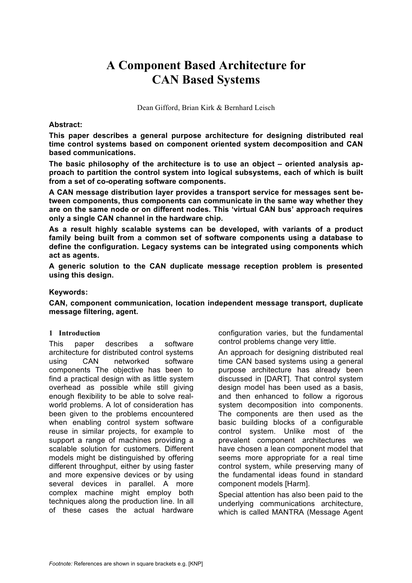# **A Component Based Architecture for CAN Based Systems**

Dean Gifford, Brian Kirk & Bernhard Leisch

#### **Abstract:**

**This paper describes a general purpose architecture for designing distributed real time control systems based on component oriented system decomposition and CAN based communications.**

**The basic philosophy of the architecture is to use an object – oriented analysis approach to partition the control system into logical subsystems, each of which is built from a set of co-operating software components.**

**A CAN message distribution layer provides a transport service for messages sent between components, thus components can communicate in the same way whether they are on the same node or on different nodes. This 'virtual CAN bus' approach requires only a single CAN channel in the hardware chip.**

**As a result highly scalable systems can be developed, with variants of a product family being built from a common set of software components using a database to define the configuration. Legacy systems can be integrated using components which act as agents.**

**A generic solution to the CAN duplicate message reception problem is presented using this design.**

#### **Keywords:**

**CAN, component communication, location independent message transport, duplicate message filtering, agent.**

#### **1 Introduction**

This paper describes a software architecture for distributed control systems using CAN networked software components The objective has been to find a practical design with as little system overhead as possible while still giving enough flexibility to be able to solve realworld problems. A lot of consideration has been given to the problems encountered when enabling control system software reuse in similar projects, for example to support a range of machines providing a scalable solution for customers. Different models might be distinguished by offering different throughput, either by using faster and more expensive devices or by using several devices in parallel. A more complex machine might employ both techniques along the production line. In all of these cases the actual hardware

configuration varies, but the fundamental control problems change very little.

An approach for designing distributed real time CAN based systems using a general purpose architecture has already been discussed in [DART]. That control system design model has been used as a basis, and then enhanced to follow a rigorous system decomposition into components. The components are then used as the basic building blocks of a configurable control system. Unlike most of the prevalent component architectures we have chosen a lean component model that seems more appropriate for a real time control system, while preserving many of the fundamental ideas found in standard component models [Harm].

Special attention has also been paid to the underlying communications architecture, which is called MANTRA (Message Agent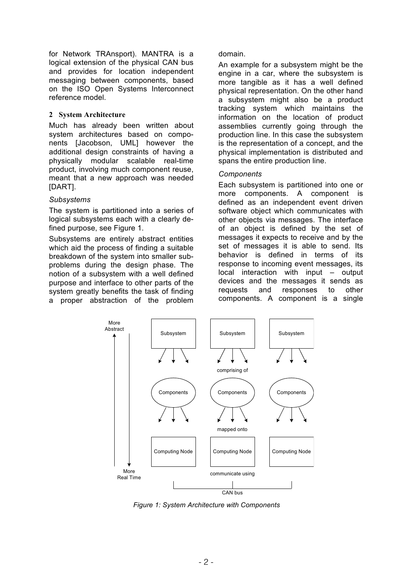for Network TRAnsport). MANTRA is a logical extension of the physical CAN bus and provides for location independent messaging between components, based on the ISO Open Systems Interconnect reference model.

## **2 System Architecture**

Much has already been written about system architectures based on components [Jacobson, UML] however the additional design constraints of having a physically modular scalable real-time product, involving much component reuse, meant that a new approach was needed [DART].

## *Subsystems*

The system is partitioned into a series of logical subsystems each with a clearly defined purpose, see Figure 1.

Subsystems are entirely abstract entities which aid the process of finding a suitable breakdown of the system into smaller subproblems during the design phase. The notion of a subsystem with a well defined purpose and interface to other parts of the system greatly benefits the task of finding a proper abstraction of the problem domain.

An example for a subsystem might be the engine in a car, where the subsystem is more tangible as it has a well defined physical representation. On the other hand a subsystem might also be a product tracking system which maintains the information on the location of product assemblies currently going through the production line. In this case the subsystem is the representation of a concept, and the physical implementation is distributed and spans the entire production line.

## *Components*

Each subsystem is partitioned into one or more components. A component is defined as an independent event driven software object which communicates with other objects via messages. The interface of an object is defined by the set of messages it expects to receive and by the set of messages it is able to send. Its behavior is defined in terms of its response to incoming event messages, its local interaction with input – output devices and the messages it sends as requests and responses to other components. A component is a single



*Figure 1: System Architecture with Components*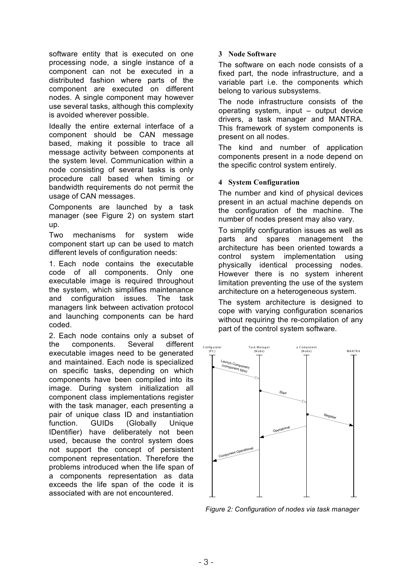software entity that is executed on one processing node, a single instance of a component can not be executed in a distributed fashion where parts of the component are executed on different nodes. A single component may however use several tasks, although this complexity is avoided wherever possible.

Ideally the entire external interface of a component should be CAN message based, making it possible to trace all message activity between components at the system level. Communication within a node consisting of several tasks is only procedure call based when timing or bandwidth requirements do not permit the usage of CAN messages.

Components are launched by a task manager (see Figure 2) on system start up.

Two mechanisms for system wide component start up can be used to match different levels of configuration needs:

1. Each node contains the executable code of all components. Only one executable image is required throughout the system, which simplifies maintenance and configuration issues. The task managers link between activation protocol and launching components can be hard coded.

2. Each node contains only a subset of the components. Several different executable images need to be generated and maintained. Each node is specialized on specific tasks, depending on which components have been compiled into its image. During system initialization all component class implementations register with the task manager, each presenting a pair of unique class ID and instantiation function. GUIDs (Globally Unique IDentifier) have deliberately not been used, because the control system does not support the concept of persistent component representation. Therefore the problems introduced when the life span of a components representation as data exceeds the life span of the code it is associated with are not encountered.

## **3 Node Software**

The software on each node consists of a fixed part, the node infrastructure, and a variable part i.e. the components which belong to various subsystems.

The node infrastructure consists of the operating system, input – output device drivers, a task manager and MANTRA. This framework of system components is present on all nodes.

The kind and number of application components present in a node depend on the specific control system entirely.

## **4 System Configuration**

The number and kind of physical devices present in an actual machine depends on the configuration of the machine. The number of nodes present may also vary.

To simplify configuration issues as well as parts and spares management the architecture has been oriented towards a control system implementation using physically identical processing nodes. However there is no system inherent limitation preventing the use of the system architecture on a heterogeneous system.

The system architecture is designed to cope with varying configuration scenarios without requiring the re-compilation of any part of the control system software.



*Figure 2: Configuration of nodes via task manager*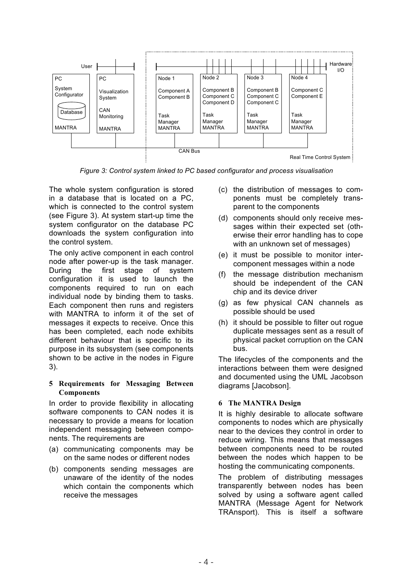

*Figure 3: Control system linked to PC based configurator and process visualisation*

The whole system configuration is stored in a database that is located on a PC, which is connected to the control system (see Figure 3). At system start-up time the system configurator on the database PC downloads the system configuration into the control system.

The only active component in each control node after power-up is the task manager. During the first stage of system configuration it is used to launch the components required to run on each individual node by binding them to tasks. Each component then runs and registers with MANTRA to inform it of the set of messages it expects to receive. Once this has been completed, each node exhibits different behaviour that is specific to its purpose in its subsystem (see components shown to be active in the nodes in Figure 3).

## **5 Requirements for Messaging Between Components**

In order to provide flexibility in allocating software components to CAN nodes it is necessary to provide a means for location independent messaging between components. The requirements are

- (a) communicating components may be on the same nodes or different nodes
- (b) components sending messages are unaware of the identity of the nodes which contain the components which receive the messages
- (c) the distribution of messages to components must be completely transparent to the components
- (d) components should only receive messages within their expected set (otherwise their error handling has to cope with an unknown set of messages)
- (e) it must be possible to monitor intercomponent messages within a node
- (f) the message distribution mechanism should be independent of the CAN chip and its device driver
- (g) as few physical CAN channels as possible should be used
- (h) it should be possible to filter out rogue duplicate messages sent as a result of physical packet corruption on the CAN bus.

The lifecycles of the components and the interactions between them were designed and documented using the UML Jacobson diagrams [Jacobson].

# **6 The MANTRA Design**

It is highly desirable to allocate software components to nodes which are physically near to the devices they control in order to reduce wiring. This means that messages between components need to be routed between the nodes which happen to be hosting the communicating components.

The problem of distributing messages transparently between nodes has been solved by using a software agent called MANTRA (Message Agent for Network TRAnsport). This is itself a software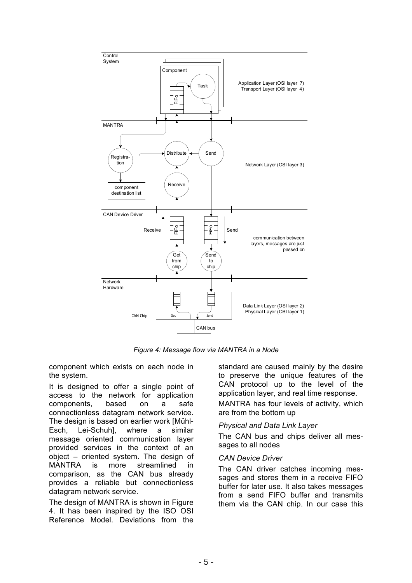

*Figure 4: Message flow via MANTRA in a Node*

component which exists on each node in the system.

It is designed to offer a single point of access to the network for application components, based on a safe connectionless datagram network service. The design is based on earlier work [Mühl-Esch, Lei-Schuh], where a similar message oriented communication layer provided services in the context of an object – oriented system. The design of MANTRA is more streamlined in comparison, as the CAN bus already provides a reliable but connectionless datagram network service.

The design of MANTRA is shown in Figure 4. It has been inspired by the ISO OSI Reference Model. Deviations from the standard are caused mainly by the desire to preserve the unique features of the CAN protocol up to the level of the application layer, and real time response.

MANTRA has four levels of activity, which are from the bottom up

#### *Physical and Data Link Layer*

The CAN bus and chips deliver all messages to all nodes

#### *CAN Device Driver*

The CAN driver catches incoming messages and stores them in a receive FIFO buffer for later use. It also takes messages from a send FIFO buffer and transmits them via the CAN chip. In our case this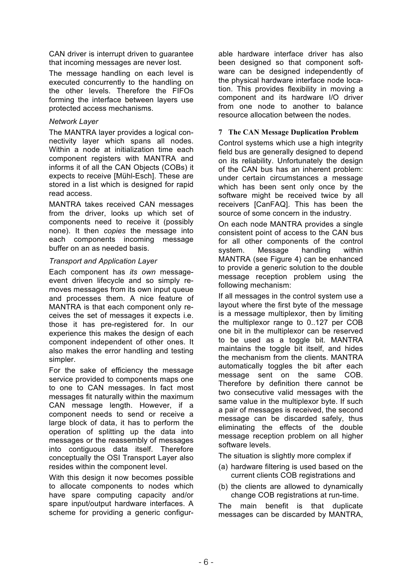CAN driver is interrupt driven to guarantee that incoming messages are never lost.

The message handling on each level is executed concurrently to the handling on the other levels. Therefore the FIFOs forming the interface between layers use protected access mechanisms.

## *Network Layer*

The MANTRA layer provides a logical connectivity layer which spans all nodes. Within a node at initialization time each component registers with MANTRA and informs it of all the CAN Objects (COBs) it expects to receive [Mühl-Esch]. These are stored in a list which is designed for rapid read access.

MANTRA takes received CAN messages from the driver, looks up which set of components need to receive it (possibly none). It then *copies* the message into each components incoming message buffer on an as needed basis.

# *Transport and Application Layer*

Each component has *its own* messageevent driven lifecycle and so simply removes messages from its own input queue and processes them. A nice feature of MANTRA is that each component only receives the set of messages it expects i.e. those it has pre-registered for. In our experience this makes the design of each component independent of other ones. It also makes the error handling and testing simpler.

For the sake of efficiency the message service provided to components maps one to one to CAN messages. In fact most messages fit naturally within the maximum CAN message length. However, if a component needs to send or receive a large block of data, it has to perform the operation of splitting up the data into messages or the reassembly of messages into contiguous data itself. Therefore conceptually the OSI Transport Layer also resides within the component level.

With this design it now becomes possible to allocate components to nodes which have spare computing capacity and/or spare input/output hardware interfaces. A scheme for providing a generic configurable hardware interface driver has also been designed so that component software can be designed independently of the physical hardware interface node location. This provides flexibility in moving a component and its hardware I/O driver from one node to another to balance resource allocation between the nodes.

# **7 The CAN Message Duplication Problem**

Control systems which use a high integrity field bus are generally designed to depend on its reliability. Unfortunately the design of the CAN bus has an inherent problem: under certain circumstances a message which has been sent only once by the software might be received twice by all receivers [CanFAQ]. This has been the source of some concern in the industry.

On each node MANTRA provides a single consistent point of access to the CAN bus for all other components of the control system. Message handling within MANTRA (see Figure 4) can be enhanced to provide a generic solution to the double message reception problem using the following mechanism:

If all messages in the control system use a layout where the first byte of the message is a message multiplexor, then by limiting the multiplexor range to 0..127 per COB one bit in the multiplexor can be reserved to be used as a toggle bit. MANTRA maintains the toggle bit itself, and hides the mechanism from the clients. MANTRA automatically toggles the bit after each message sent on the same COB. Therefore by definition there cannot be two consecutive valid messages with the same value in the multiplexor byte. If such a pair of messages is received, the second message can be discarded safely, thus eliminating the effects of the double message reception problem on all higher software levels.

The situation is slightly more complex if

- (a) hardware filtering is used based on the current clients COB registrations and
- (b) the clients are allowed to dynamically change COB registrations at run-time.

The main benefit is that duplicate messages can be discarded by MANTRA,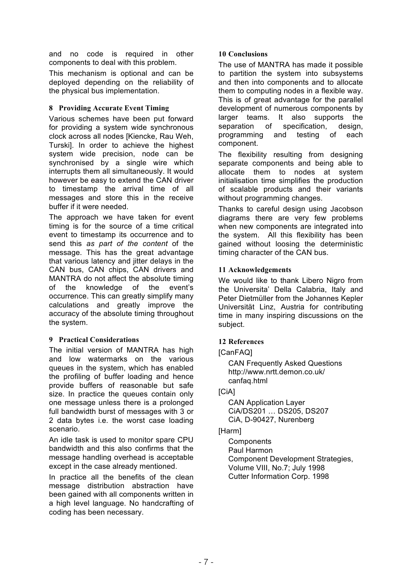and no code is required in other components to deal with this problem.

This mechanism is optional and can be deployed depending on the reliability of the physical bus implementation.

# **8 Providing Accurate Event Timing**

Various schemes have been put forward for providing a system wide synchronous clock across all nodes [Kiencke, Rau Weh, Turski]. In order to achieve the highest system wide precision, node can be synchronised by a single wire which interrupts them all simultaneously. It would however be easy to extend the CAN driver to timestamp the arrival time of all messages and store this in the receive buffer if it were needed.

The approach we have taken for event timing is for the source of a time critical event to timestamp its occurrence and to send this *as part of the content* of the message. This has the great advantage that various latency and jitter delays in the CAN bus, CAN chips, CAN drivers and MANTRA do not affect the absolute timing of the knowledge of the event's occurrence. This can greatly simplify many calculations and greatly improve the accuracy of the absolute timing throughout the system.

# **9 Practical Considerations**

The initial version of MANTRA has high and low watermarks on the various queues in the system, which has enabled the profiling of buffer loading and hence provide buffers of reasonable but safe size. In practice the queues contain only one message unless there is a prolonged full bandwidth burst of messages with 3 or 2 data bytes i.e. the worst case loading scenario.

An idle task is used to monitor spare CPU bandwidth and this also confirms that the message handling overhead is acceptable except in the case already mentioned.

In practice all the benefits of the clean message distribution abstraction have been gained with all components written in a high level language. No handcrafting of coding has been necessary.

## **10 Conclusions**

The use of MANTRA has made it possible to partition the system into subsystems and then into components and to allocate them to computing nodes in a flexible way. This is of great advantage for the parallel development of numerous components by larger teams. It also supports the separation of specification, design, programming and testing of each component.

The flexibility resulting from designing separate components and being able to allocate them to nodes at system initialisation time simplifies the production of scalable products and their variants without programming changes.

Thanks to careful design using Jacobson diagrams there are very few problems when new components are integrated into the system. All this flexibility has been gained without loosing the deterministic timing character of the CAN bus.

# **11 Acknowledgements**

We would like to thank Libero Nigro from the Universita' Della Calabria, Italy and Peter Dietmüller from the Johannes Kepler Universität Linz, Austria for contributing time in many inspiring discussions on the subject.

# **12 References**

[CanFAQ]

CAN Frequently Asked Questions http://www.nrtt.demon.co.uk/ canfaq.html

# [CiA]

CAN Application Layer CiA/DS201 … DS205, DS207 CiA, D-90427, Nurenberg

# [Harm]

**Components** Paul Harmon Component Development Strategies, Volume VIII, No.7; July 1998 Cutter Information Corp. 1998